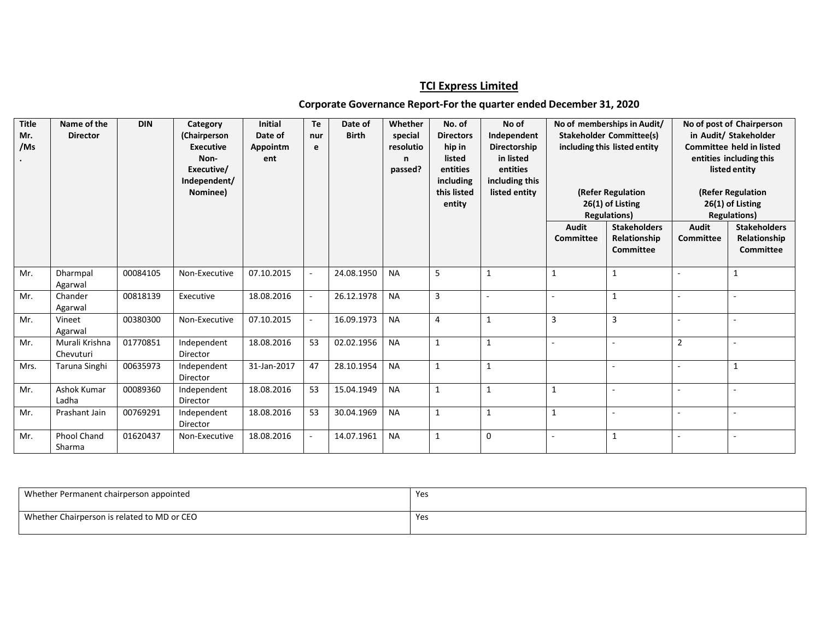## **TCI Express Limited**

## **Corporate Governance Report-For the quarter ended December 31, 2020**

| <b>Title</b><br>Mr.<br>/Ms | Name of the<br><b>Director</b> | <b>DIN</b> | Category<br>(Chairperson<br><b>Executive</b><br>Non-<br>Executive/<br>Independent/<br>Nominee) | <b>Initial</b><br>Date of<br>Appointm<br>ent | Te<br>nur<br>e           | Date of<br><b>Birth</b> | Whether<br>special<br>resolutio<br>n<br>passed? | No. of<br><b>Directors</b><br>hip in<br>listed<br>entities<br>including<br>this listed<br>entity | No of<br>Independent<br>Directorship<br>in listed<br>entities<br>including this<br>listed entity | No of memberships in Audit/<br><b>Stakeholder Committee(s)</b><br>including this listed entity<br>(Refer Regulation<br>26(1) of Listing<br><b>Regulations)</b> |                                                         |                           | No of post of Chairperson<br>in Audit/ Stakeholder<br><b>Committee held in listed</b><br>entities including this<br>listed entity<br>(Refer Regulation<br>26(1) of Listing<br><b>Regulations)</b> |
|----------------------------|--------------------------------|------------|------------------------------------------------------------------------------------------------|----------------------------------------------|--------------------------|-------------------------|-------------------------------------------------|--------------------------------------------------------------------------------------------------|--------------------------------------------------------------------------------------------------|----------------------------------------------------------------------------------------------------------------------------------------------------------------|---------------------------------------------------------|---------------------------|---------------------------------------------------------------------------------------------------------------------------------------------------------------------------------------------------|
|                            |                                |            |                                                                                                |                                              |                          |                         |                                                 |                                                                                                  |                                                                                                  | <b>Audit</b><br>Committee                                                                                                                                      | <b>Stakeholders</b><br>Relationship<br><b>Committee</b> | Audit<br><b>Committee</b> | <b>Stakeholders</b><br>Relationship<br><b>Committee</b>                                                                                                                                           |
| Mr.                        | Dharmpal<br>Agarwal            | 00084105   | Non-Executive                                                                                  | 07.10.2015                                   |                          | 24.08.1950              | <b>NA</b>                                       | 5                                                                                                | $\mathbf{1}$                                                                                     | $\mathbf{1}$                                                                                                                                                   | $\mathbf{1}$                                            |                           | $\mathbf{1}$                                                                                                                                                                                      |
| Mr.                        | Chander<br>Agarwal             | 00818139   | Executive                                                                                      | 18.08.2016                                   | $\overline{\phantom{a}}$ | 26.12.1978              | <b>NA</b>                                       | 3                                                                                                |                                                                                                  |                                                                                                                                                                | 1                                                       |                           |                                                                                                                                                                                                   |
| Mr.                        | Vineet<br>Agarwal              | 00380300   | Non-Executive                                                                                  | 07.10.2015                                   |                          | 16.09.1973              | <b>NA</b>                                       | $\overline{4}$                                                                                   |                                                                                                  | $\overline{3}$                                                                                                                                                 | 3                                                       |                           |                                                                                                                                                                                                   |
| Mr.                        | Murali Krishna<br>Chevuturi    | 01770851   | Independent<br>Director                                                                        | 18.08.2016                                   | 53                       | 02.02.1956              | <b>NA</b>                                       | $\mathbf{1}$                                                                                     | $\mathbf{1}$                                                                                     | $\overline{\phantom{a}}$                                                                                                                                       |                                                         | $\overline{2}$            |                                                                                                                                                                                                   |
| Mrs.                       | Taruna Singhi                  | 00635973   | Independent<br>Director                                                                        | 31-Jan-2017                                  | 47                       | 28.10.1954              | <b>NA</b>                                       | $\mathbf{1}$                                                                                     | $\mathbf{1}$                                                                                     |                                                                                                                                                                |                                                         |                           | $\mathbf{1}$                                                                                                                                                                                      |
| Mr.                        | <b>Ashok Kumar</b><br>Ladha    | 00089360   | Independent<br>Director                                                                        | 18.08.2016                                   | 53                       | 15.04.1949              | <b>NA</b>                                       | $\mathbf{1}$                                                                                     | $\mathbf{1}$                                                                                     | 1                                                                                                                                                              |                                                         |                           |                                                                                                                                                                                                   |
| Mr.                        | Prashant Jain                  | 00769291   | Independent<br>Director                                                                        | 18.08.2016                                   | 53                       | 30.04.1969              | <b>NA</b>                                       | $\mathbf{1}$                                                                                     | 1                                                                                                | $\mathbf{1}$                                                                                                                                                   |                                                         | $\sim$                    |                                                                                                                                                                                                   |
| Mr.                        | <b>Phool Chand</b><br>Sharma   | 01620437   | Non-Executive                                                                                  | 18.08.2016                                   |                          | 14.07.1961              | <b>NA</b>                                       | $\mathbf{1}$                                                                                     | $\mathbf 0$                                                                                      |                                                                                                                                                                | $\mathbf{1}$                                            |                           |                                                                                                                                                                                                   |

| Whether Permanent chairperson appointed     | Yes |
|---------------------------------------------|-----|
| Whether Chairperson is related to MD or CEO | Yes |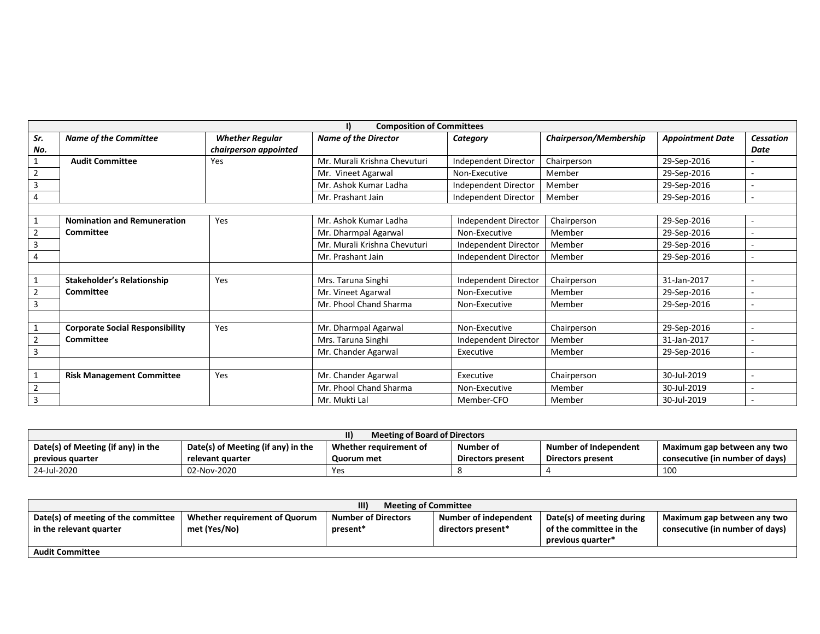|                | I)<br><b>Composition of Committees</b> |                        |                              |                      |                        |                         |                          |  |
|----------------|----------------------------------------|------------------------|------------------------------|----------------------|------------------------|-------------------------|--------------------------|--|
| Sr.            | <b>Name of the Committee</b>           | <b>Whether Regular</b> | <b>Name of the Director</b>  | Category             | Chairperson/Membership | <b>Appointment Date</b> | Cessation                |  |
| No.            |                                        | chairperson appointed  |                              |                      |                        |                         | Date                     |  |
|                | <b>Audit Committee</b>                 | Yes                    | Mr. Murali Krishna Chevuturi | Independent Director | Chairperson            | 29-Sep-2016             |                          |  |
| $\overline{2}$ |                                        |                        | Mr. Vineet Agarwal           | Non-Executive        | Member                 | 29-Sep-2016             | $\overline{\phantom{a}}$ |  |
| 3              |                                        |                        | Mr. Ashok Kumar Ladha        | Independent Director | Member                 | 29-Sep-2016             | $\sim$                   |  |
| 4              |                                        |                        | Mr. Prashant Jain            | Independent Director | Member                 | 29-Sep-2016             | $\sim$                   |  |
|                |                                        |                        |                              |                      |                        |                         |                          |  |
|                | <b>Nomination and Remuneration</b>     | Yes                    | Mr. Ashok Kumar Ladha        | Independent Director | Chairperson            | 29-Sep-2016             | $\overline{\phantom{a}}$ |  |
| 2              | <b>Committee</b>                       |                        | Mr. Dharmpal Agarwal         | Non-Executive        | Member                 | 29-Sep-2016             |                          |  |
| 3              |                                        |                        | Mr. Murali Krishna Chevuturi | Independent Director | Member                 | 29-Sep-2016             | $\sim$                   |  |
| 4              |                                        |                        | Mr. Prashant Jain            | Independent Director | Member                 | 29-Sep-2016             | $\sim$                   |  |
|                |                                        |                        |                              |                      |                        |                         |                          |  |
|                | <b>Stakeholder's Relationship</b>      | Yes                    | Mrs. Taruna Singhi           | Independent Director | Chairperson            | 31-Jan-2017             |                          |  |
|                | <b>Committee</b>                       |                        | Mr. Vineet Agarwal           | Non-Executive        | Member                 | 29-Sep-2016             | $\sim$                   |  |
| 3              |                                        |                        | Mr. Phool Chand Sharma       | Non-Executive        | Member                 | 29-Sep-2016             | $\overline{\phantom{a}}$ |  |
|                |                                        |                        |                              |                      |                        |                         |                          |  |
|                | <b>Corporate Social Responsibility</b> | Yes                    | Mr. Dharmpal Agarwal         | Non-Executive        | Chairperson            | 29-Sep-2016             | $\sim$                   |  |
| 2              | Committee                              |                        | Mrs. Taruna Singhi           | Independent Director | Member                 | 31-Jan-2017             |                          |  |
| 3              |                                        |                        | Mr. Chander Agarwal          | Executive            | Member                 | 29-Sep-2016             | $\sim$                   |  |
|                |                                        |                        |                              |                      |                        |                         |                          |  |
|                | <b>Risk Management Committee</b>       | Yes                    | Mr. Chander Agarwal          | Executive            | Chairperson            | 30-Jul-2019             | $\sim$                   |  |
| $\overline{2}$ |                                        |                        | Mr. Phool Chand Sharma       | Non-Executive        | Member                 | 30-Jul-2019             | $\overline{\phantom{a}}$ |  |
| 3              |                                        |                        | Mr. Mukti Lal                | Member-CFO           | Member                 | 30-Jul-2019             |                          |  |

| $\mathsf{II}$<br>Meeting of Board of Directors |                                    |                        |                   |                       |                                 |  |  |
|------------------------------------------------|------------------------------------|------------------------|-------------------|-----------------------|---------------------------------|--|--|
| Date(s) of Meeting (if any) in the             | Date(s) of Meeting (if any) in the | Whether requirement of | Number of         | Number of Independent | Maximum gap between any two     |  |  |
| previous quarter                               | relevant quarter                   | Quorum met             | Directors present | Directors present     | consecutive (in number of days) |  |  |
| 24-Jul-2020                                    | 02-Nov-2020                        | Yes                    |                   |                       | 10 <sup>C</sup>                 |  |  |

| III)<br><b>Meeting of Committee</b> |                               |                            |                       |                           |                                 |  |  |  |
|-------------------------------------|-------------------------------|----------------------------|-----------------------|---------------------------|---------------------------------|--|--|--|
| Date(s) of meeting of the committee | Whether requirement of Quorum | <b>Number of Directors</b> | Number of independent | Date(s) of meeting during | Maximum gap between any two     |  |  |  |
| in the relevant quarter             | met (Yes/No)<br>present*      |                            | directors present*    | of the committee in the   | consecutive (in number of days) |  |  |  |
|                                     |                               |                            |                       | previous quarter*         |                                 |  |  |  |
| <b>Audit Committee</b>              |                               |                            |                       |                           |                                 |  |  |  |